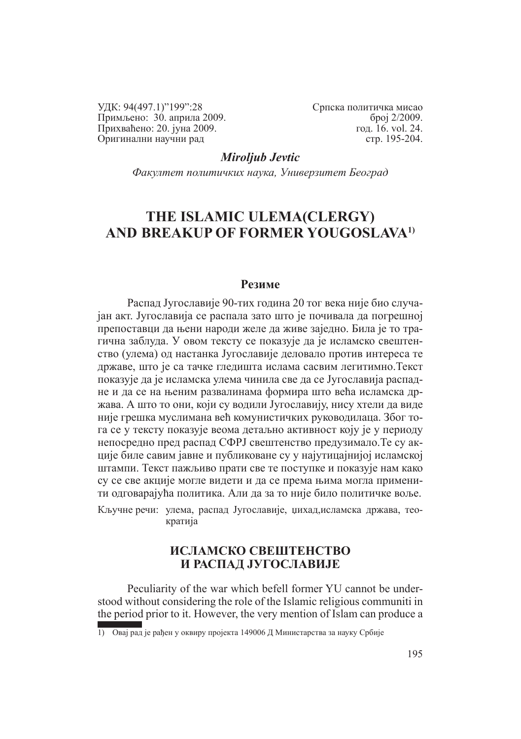УДК: 94(497.1)"199":28 Примљено: 30. априла 2009. Прихваћено: 20. јуна 2009. Оригинални научни рад

Српска политичка мисао број 2/2009. год. 16. vol. 24. стр. 195-204.

## *Miroljub Jevtic*

*Факултет политичких наука, Универзитет Београд*

# **THE ISLAMIC ULEMA(CLERGY) AND BREAKUP OF FORMER YOUGOSLAVA1)**

#### **Резиме**

Распад Југославије 90-тих година 20 тог века није био случајан акт. Југославија се распала зато што је почивала да погрешној препоставци да њени народи желе да живе заједно. Била је то трагична заблуда. У овом тексту се показује да је исламско свештенство (улема) од настанка Југославије деловало против интереса те државе, што је са тачке гледишта ислама сасвим легитимно.Текст показује да је исламска улема чинила све да се Југославија распадне и да се на њеним развалинама формира што већа исламска држава. А што то они, који су водили Југославију, нису хтели да виде није грешка муслимана већ комунистичких руководилаца. Због тога се у тексту показује веома детаљно активност коју је у периоду непосредно пред распад СФРЈ свештенство предузимало.Те су акције биле савим јавне и публиковане су у најутицајнијој исламској штампи. Текст пажљиво прати све те поступке и показује нам како су се све акције могле видети и да се према њима могла применити одговарајућа политика. Али да за то није било политичке воље.

Кључне речи: улема, распад Југославије, џихад,исламска држава, теократија

## **ИСЛАМСКО СВЕШТЕНСТВО И РАСПАД ЈУГОСЛАВИЈЕ**

Peculiarity of the war which befell former YU cannot be understood without considering the role of the Islamic religious communiti in the period prior to it. However, the very mention of Islam can produce a

<sup>1)</sup> Овај рад је рађен у оквиру пројекта 149006 Д Министaрства за науку Србије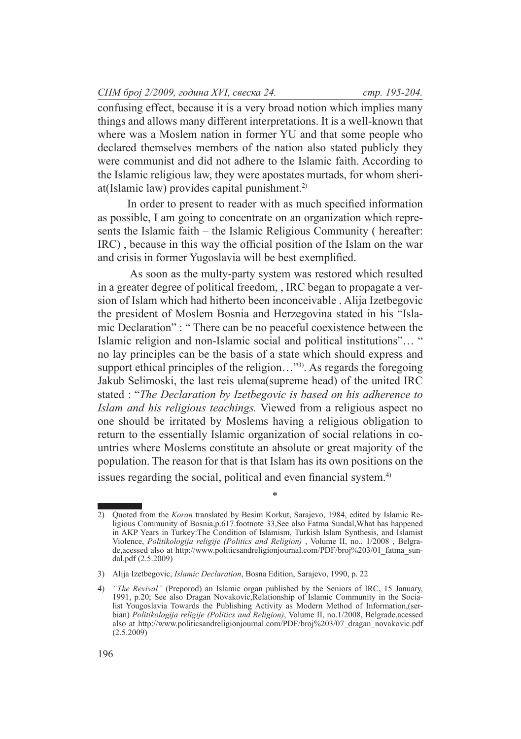confusing effect, because it is a very broad notion which implies many things and allows many different interpretations. It is a well-known that where was a Moslem nation in former YU and that some people who declared themselves members of the nation also stated publicly they were communist and did not adhere to the Islamic faith. According to the Islamic religious law, they were apostates murtads, for whom sheriat(Islamic law) provides capital punishment.2)

In order to present to reader with as much specified information as possible, I am going to concentrate on an organization which represents the Islamic faith – the Islamic Religious Community ( hereafter: IRC) , because in this way the official position of the Islam on the war and crisis in former Yugoslavia will be best exemplified.

 As soon as the multy-party system was restored which resulted in a greater degree of political freedom, , IRC began to propagate a version of Islam which had hitherto been inconceivable . Alija Izetbegovic the president of Moslem Bosnia and Herzegovina stated in his "Islamic Declaration" : " There can be no peaceful coexistence between the Islamic religion and non-Islamic social and political institutions"… " no lay principles can be the basis of a state which should express and support ethical principles of the religion..."<sup>3)</sup>. As regards the foregoing Jakub Selimoski, the last reis ulema(supreme head) of the united IRC stated : "*The Declaration by Izetbegovic is based on his adherence to Islam and his religious teachings.* Viewed from a religious aspect no one should be irritated by Moslems having a religious obligation to return to the essentially Islamic organization of social relations in countries where Moslems constitute an absolute or great majority of the population. The reason for that is that Islam has its own positions on the issues regarding the social, political and even financial system.<sup>4)</sup>

\*

<sup>2)</sup> Quoted from the *Koran* translated by Besim Korkut, Sarajevo, 1984, edited by Islamic Religious Community of Bosnia,p.617.footnote 33,See also Fatma Sundal,What has happened in AKP Years in Turkey:The Condition of Islamism, Turkish Islam Synthesis, and Islamist Violence, *Politikologija religije (Politics and Religion)* , Volume II, no.. 1/2008 , Belgrade,acessed also at http://www.politicsandreligionjournal.com/PDF/broj%203/01 fatma\_sundal.pdf (2.5.2009)

<sup>3)</sup> Alija Izetbegovic, *Islamic Declaration*, Bosna Edition, Sarajevo, 1990, p. 22

<sup>4)</sup> *"The Revival"* (Preporod) an Islamic organ published by the Seniors of IRC, 15 January, 1991, p.20; See also Dragan Novakovic,Relationship of Islamic Community in the Socialist Yougoslavia Towards the Publishing Activity as Modern Method of Information,(serbian) *Politikologija religije (Politics and Religion)*, Volume II, no.1/2008, Belgrade,аcessed also at http://www.politicsandreligionjournal.com/PDF/broj%203/07\_dragan\_novakovic.pdf  $(2.5.2009)$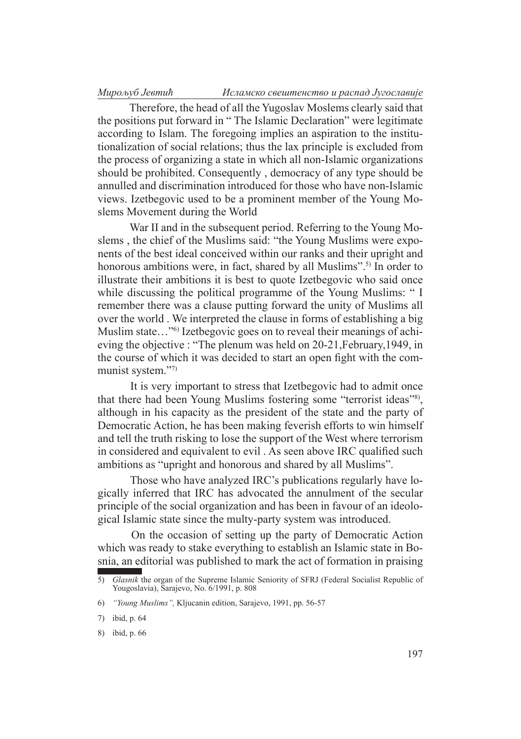Therefore, the head of all the Yugoslav Moslems clearly said that the positions put forward in " The Islamic Declaration" were legitimate according to Islam. The foregoing implies an aspiration to the institutionalization of social relations; thus the lax principle is excluded from the process of organizing a state in which all non-Islamic organizations should be prohibited. Consequently , democracy of any type should be annulled and discrimination introduced for those who have non-Islamic views. Izetbegovic used to be a prominent member of the Young Moslems Movement during the World

 War II and in the subsequent period. Referring to the Young Moslems , the chief of the Muslims said: "the Young Muslims were exponents of the best ideal conceived within our ranks and their upright and honorous ambitions were, in fact, shared by all Muslims".<sup>5)</sup> In order to illustrate their ambitions it is best to quote Izetbegovic who said once while discussing the political programme of the Young Muslims: " I remember there was a clause putting forward the unity of Muslims all over the world . We interpreted the clause in forms of establishing a big Muslim state..."<sup>6)</sup> Izetbegovic goes on to reveal their meanings of achieving the objective : "The plenum was held on 20-21,February,1949, in the course of which it was decided to start an open fight with the communist system."7)

 It is very important to stress that Izetbegovic had to admit once that there had been Young Muslims fostering some "terrorist ideas"8), although in his capacity as the president of the state and the party of Democratic Action, he has been making feverish efforts to win himself and tell the truth risking to lose the support of the West where terrorism in considered and equivalent to evil . As seen above IRC qualified such ambitions as "upright and honorous and shared by all Muslims".

 Those who have analyzed IRC's publications regularly have logically inferred that IRC has advocated the annulment of the secular principle of the social organization and has been in favour of an ideological Islamic state since the multy-party system was introduced.

 On the occasion of setting up the party of Democratic Action which was ready to stake everything to establish an Islamic state in Bosnia, an editorial was published to mark the act of formation in praising

<sup>5)</sup> *Glasnik* the organ of the Supreme Islamic Seniority of SFRJ (Federal Socialist Republic of Yougoslavia), Sarajevo, No. 6/1991, p. 808

<sup>6)</sup> *"Young Muslims",* Kljucanin edition, Sarajevo, 1991, pp. 56-57

<sup>7)</sup> ibid, p. 64

<sup>8)</sup> ibid, p. 66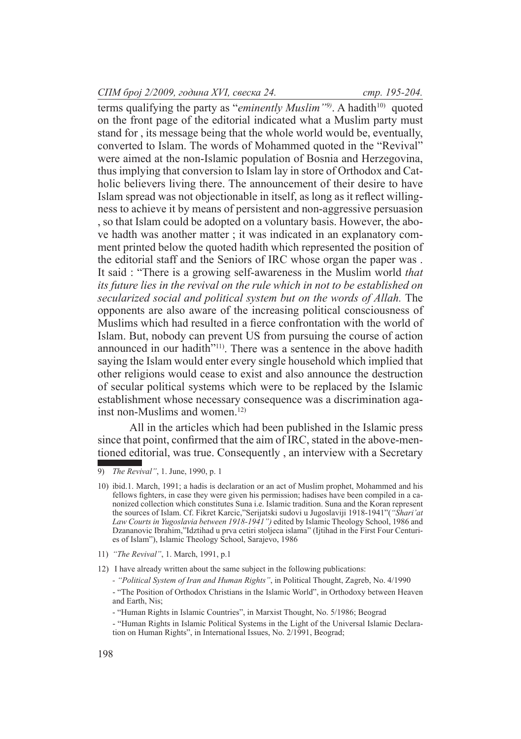terms qualifying the party as "eminently Muslim"<sup>9)</sup>. A hadith<sup>10)</sup> quoted on the front page of the editorial indicated what a Muslim party must stand for , its message being that the whole world would be, eventually, converted to Islam. The words of Mohammed quoted in the "Revival" were aimed at the non-Islamic population of Bosnia and Herzegovina, thus implying that conversion to Islam lay in store of Orthodox and Catholic believers living there. The announcement of their desire to have Islam spread was not objectionable in itself, as long as it reflect willingness to achieve it by means of persistent and non-aggressive persuasion , so that Islam could be adopted on a voluntary basis. However, the above hadth was another matter ; it was indicated in an explanatory comment printed below the quoted hadith which represented the position of the editorial staff and the Seniors of IRC whose organ the paper was . It said : "There is a growing self-awareness in the Muslim world *that its future lies in the revival on the rule which in not to be established on secularized social and political system but on the words of Allah.* The opponents are also aware of the increasing political consciousness of Muslims which had resulted in a fierce confrontation with the world of Islam. But, nobody can prevent US from pursuing the course of action announced in our hadith"11). There was a sentence in the above hadith saying the Islam would enter every single household which implied that other religions would cease to exist and also announce the destruction of secular political systems which were to be replaced by the Islamic establishment whose necessary consequence was a discrimination against non-Muslims and women.<sup>12)</sup>

 All in the articles which had been published in the Islamic press since that point, confirmed that the aim of IRC, stated in the above-mentioned editorial, was true. Consequently , an interview with a Secretary

11) *"The Revival"*, 1. March, 1991, p.1

<sup>9)</sup> *The Revival"*, 1. June, 1990, p. 1

<sup>10)</sup> ibid.1. March, 1991; a hadis is declaration or an act of Muslim prophet, Mohammed and his fellows fighters, in case they were given his permission; hadises have been compiled in a canonized collection which constitutes Suna i.e. Islamic tradition. Suna and the Koran represent the sources of Islam. Cf. Fikret Karcic,"Serijatski sudovi u Jugoslaviji 1918-1941"(*"Shari'at Law Courts in Yugoslavia between 1918-1941")* edited by Islamic Theology School, 1986 and Dzananovic Ibrahim,"Idztihad u prva cetiri stoljeca islama" (Ijtihad in the First Four Centuries of Islam"), Islamic Theology School, Sarajevo, 1986

<sup>12)</sup> I have already written about the same subject in the following publications:

*<sup>- &</sup>quot;Political System of Iran and Human Rights"*, in Political Thought, Zagreb, No. 4/1990

<sup>- &</sup>quot;The Position of Orthodox Christians in the Islamic World", in Orthodoxy between Heaven and Earth, Nis;

<sup>- &</sup>quot;Human Rights in Islamic Countries", in Marxist Thought, No. 5/1986; Beograd

<sup>- &</sup>quot;Human Rights in Islamic Political Systems in the Light of the Universal Islamic Declaration on Human Rights", in International Issues, No. 2/1991, Beograd;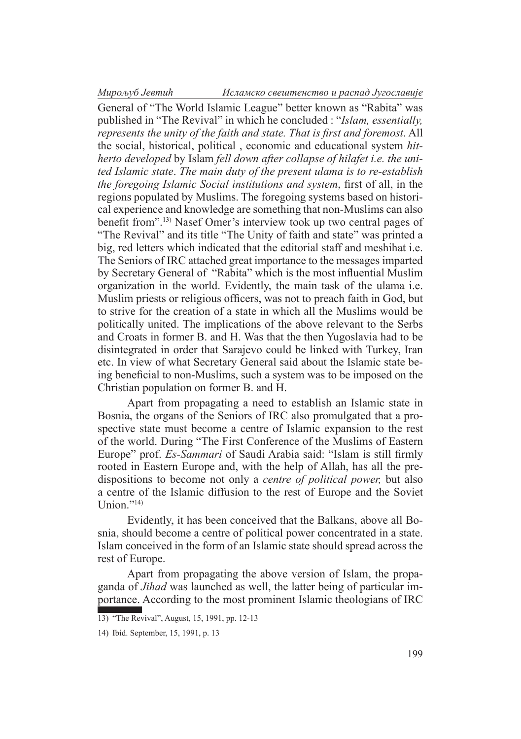General of "The World Islamic League" better known as "Rabita" was published in "The Revival" in which he concluded : "*Islam, essentially, represents the unity of the faith and state. That is first and foremost*. All the social, historical, political , economic and educational system *hitherto developed* by Islam *fell down after collapse of hilafet i.e. the united Islamic state*. *The main duty of the present ulama is to re-establish the foregoing Islamic Social institutions and system*, first of all, in the regions populated by Muslims. The foregoing systems based on historical experience and knowledge are something that non-Muslims can also benefit from".13) Nasef Omer's interview took up two central pages of "The Revival" and its title "The Unity of faith and state" was printed a big, red letters which indicated that the editorial staff and meshihat i.e. The Seniors of IRC attached great importance to the messages imparted by Secretary General of "Rabita" which is the most influential Muslim organization in the world. Evidently, the main task of the ulama i.e. Muslim priests or religious officers, was not to preach faith in God, but to strive for the creation of a state in which all the Muslims would be politically united. The implications of the above relevant to the Serbs and Croats in former B. and H. Was that the then Yugoslavia had to be disintegrated in order that Sarajevo could be linked with Turkey, Iran etc. In view of what Secretary General said about the Islamic state being beneficial to non-Muslims, such a system was to be imposed on the Christian population on former B. and H.

Apart from propagating a need to establish an Islamic state in Bosnia, the organs of the Seniors of IRC also promulgated that a prospective state must become a centre of Islamic expansion to the rest of the world. During "The First Conference of the Muslims of Eastern Europe" prof. *Es-Sammari* of Saudi Arabia said: "Islam is still firmly rooted in Eastern Europe and, with the help of Allah, has all the predispositions to become not only a *centre of political power,* but also a centre of the Islamic diffusion to the rest of Europe and the Soviet  $Union$ <sup> $"14)$ </sup>

Evidently, it has been conceived that the Balkans, above all Bosnia, should become a centre of political power concentrated in a state. Islam conceived in the form of an Islamic state should spread across the rest of Europe.

Apart from propagating the above version of Islam, the propaganda of *Jihad* was launched as well, the latter being of particular importance. According to the most prominent Islamic theologians of IRC

<sup>13)</sup> "The Revival", August, 15, 1991, pp. 12-13

<sup>14)</sup> Ibid. September, 15, 1991, p. 13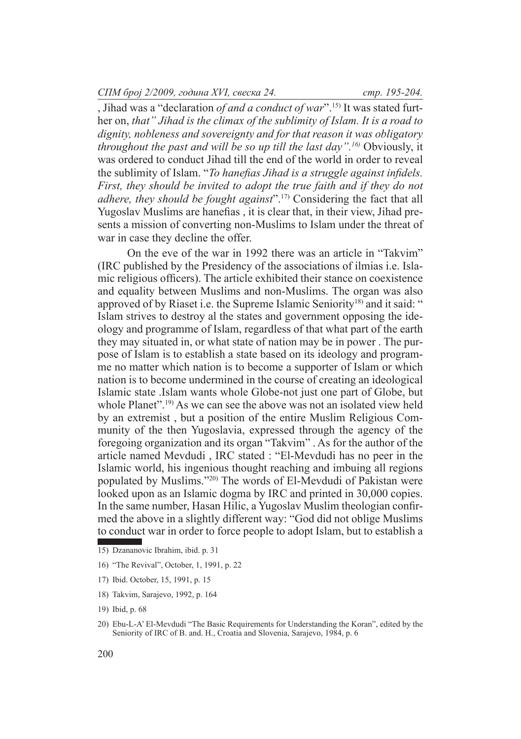, Jihad was a "declaration *of and a conduct of war*".15) It was stated further on, *that" Jihad is the climax of the sublimity of Islam. It is a road to dignity, nobleness and sovereignty and for that reason it was obligatory throughout the past and will be so up till the last day".16)* Obviously, it was ordered to conduct Jihad till the end of the world in order to reveal the sublimity of Islam. "*To hanefias Jihad is a struggle against infidels. First, they should be invited to adopt the true faith and if they do not adhere, they should be fought against*".17) Considering the fact that all Yugoslav Muslims are hanefias , it is clear that, in their view, Jihad presents a mission of converting non-Muslims to Islam under the threat of war in case they decline the offer.

On the eve of the war in 1992 there was an article in "Takvim" (IRC published by the Presidency of the associations of ilmias i.e. Islamic religious officers). The article exhibited their stance on coexistence and equality between Muslims and non-Muslims. The organ was also approved of by Riaset i.e. the Supreme Islamic Seniority<sup>18)</sup> and it said: " Islam strives to destroy al the states and government opposing the ideology and programme of Islam, regardless of that what part of the earth they may situated in, or what state of nation may be in power . The purpose of Islam is to establish a state based on its ideology and programme no matter which nation is to become a supporter of Islam or which nation is to become undermined in the course of creating an ideological Islamic state .Islam wants whole Globe-not just one part of Globe, but whole Planet".<sup>19</sup> As we can see the above was not an isolated view held by an extremist , but a position of the entire Muslim Religious Community of the then Yugoslavia, expressed through the agency of the foregoing organization and its organ "Takvim" . As for the author of the article named Mevdudi , IRC stated : "El-Mevdudi has no peer in the Islamic world, his ingenious thought reaching and imbuing all regions populated by Muslims."20) The words of El-Mevdudi of Pakistan were looked upon as an Islamic dogma by IRC and printed in 30,000 copies. In the same number, Hasan Hilic, a Yugoslav Muslim theologian confirmed the above in a slightly different way: "God did not oblige Muslims to conduct war in order to force people to adopt Islam, but to establish a

- 17) Ibid. October, 15, 1991, p. 15
- 18) Takvim, Sarajevo, 1992, p. 164
- 19) Ibid, p. 68

<sup>15)</sup> Dzananovic Ibrahim, ibid. p. 31

<sup>16)</sup> "The Revival", October, 1, 1991, p. 22

<sup>20)</sup> Ebu-L-A' El-Mevdudi "The Basic Requirements for Understanding the Koran", edited by the Seniority of IRC of B. and. H., Croatia and Slovenia, Sarajevo, 1984, p. 6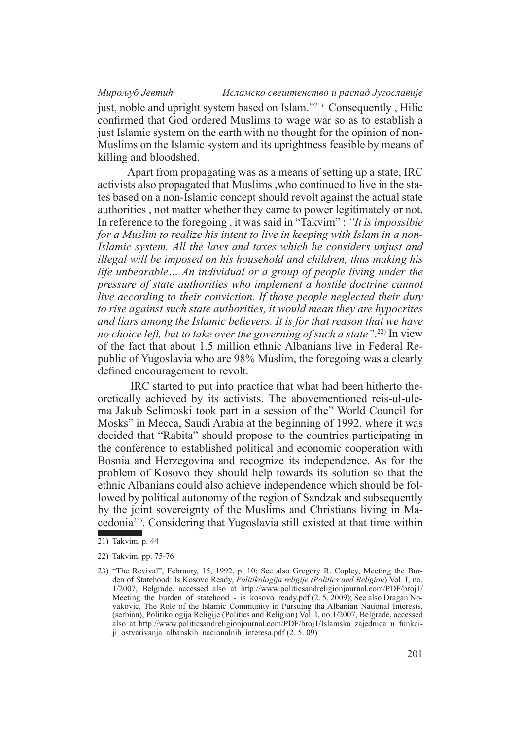just, noble and upright system based on Islam."<sup>21)</sup> Consequently, Hilic confirmed that God ordered Muslims to wage war so as to establish a just Islamic system on the earth with no thought for the opinion of non-Muslims on the Islamic system and its uprightness feasible by means of killing and bloodshed.

Apart from propagating was as a means of setting up a state, IRC activists also propagated that Muslims ,who continued to live in the states based on a non-Islamic concept should revolt against the actual state authorities , not matter whether they came to power legitimately or not. In reference to the foregoing , it was said in "Takvim" : *"It is impossible for a Muslim to realize his intent to live in keeping with Islam in a non-Islamic system. All the laws and taxes which he considers unjust and illegal will be imposed on his household and children, thus making his life unbearable… An individual or a group of people living under the pressure of state authorities who implement a hostile doctrine cannot live according to their conviction. If those people neglected their duty to rise against such state authorities, it would mean they are hypocrites and liars among the Islamic believers. It is for that reason that we have no choice left, but to take over the governing of such a state"*. 22) In view of the fact that about 1.5 million ethnic Albanians live in Federal Republic of Yugoslavia who are 98% Muslim, the foregoing was a clearly defined encouragement to revolt.

 IRC started to put into practice that what had been hitherto theoretically achieved by its activists. The abovementioned reis-ul-ulema Jakub Selimoski took part in a session of the" World Council for Mosks" in Mecca, Saudi Arabia at the beginning of 1992, where it was decided that "Rabita" should propose to the countries participating in the conference to established political and economic cooperation with Bosnia and Herzegovina and recognize its independence. As for the problem of Kosovo they should help towards its solution so that the ethnic Albanians could also achieve independence which should be followed by political autonomy of the region of Sandzak and subsequently by the joint sovereignty of the Muslims and Christians living in Macedonia23). Considering that Yugoslavia still existed at that time within

<sup>21)</sup> Takvim, p. 44

<sup>22)</sup> Takvim, pp. 75-76

<sup>23)</sup> "The Revival", February, 15, 1992, p. 10; See also Gregory R. Copley, Meeting the Burden of Statehood: Is Kosovo Ready, *Politikologija religije (Politics and Religion*) Vol. I, no. 1/2007, Belgrade, accessed also at http://www.politicsandreligionjournal.com/PDF/broj1/ Meeting\_the\_burden\_of\_statehood\_-\_is\_kosovo\_ready.pdf (2. 5. 2009); See also Dragan Novakovic, The Role of the Islamic Community in Pursuing tha Albanian National Interests, (serbian), Politikologija Religije (Politics and Religion) Vol. I, no.1/2007, Belgrade, accessed also at http://www.politicsandreligionjournal.com/PDF/broj1/Islamska\_zajednica\_u\_funkciji\_ostvarivanja\_albanskih\_nacionalnih\_interesa.pdf (2. 5. 09)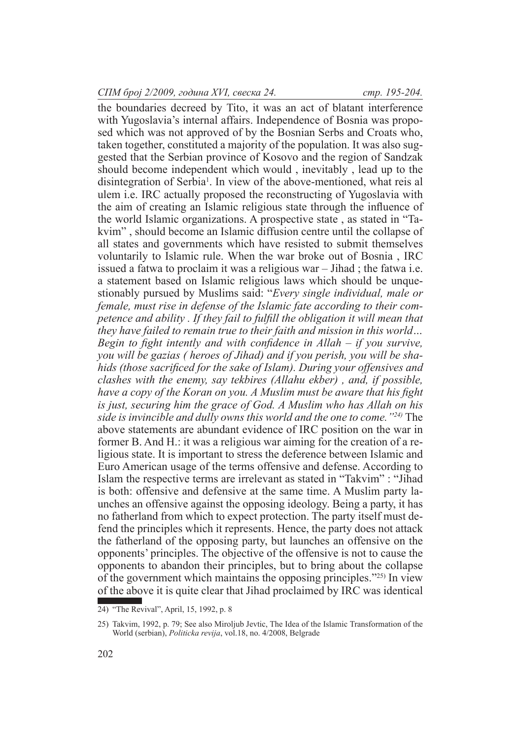the boundaries decreed by Tito, it was an act of blatant interference with Yugoslavia's internal affairs. Independence of Bosnia was proposed which was not approved of by the Bosnian Serbs and Croats who, taken together, constituted a majority of the population. It was also suggested that the Serbian province of Kosovo and the region of Sandzak should become independent which would , inevitably , lead up to the disintegration of Serbia<sup>1</sup>. In view of the above-mentioned, what reis al ulem i.e. IRC actually proposed the reconstructing of Yugoslavia with the aim of creating an Islamic religious state through the influence of the world Islamic organizations. A prospective state , as stated in "Takvim" , should become an Islamic diffusion centre until the collapse of all states and governments which have resisted to submit themselves voluntarily to Islamic rule. When the war broke out of Bosnia , IRC issued a fatwa to proclaim it was a religious war – Jihad ; the fatwa i.e. a statement based on Islamic religious laws which should be unquestionably pursued by Muslims said: "*Every single individual, male or female, must rise in defense of the Islamic fate according to their competence and ability . If they fail to fulfill the obligation it will mean that they have failed to remain true to their faith and mission in this world… Begin to fight intently and with confidence in Allah – if you survive, you will be gazias ( heroes of Jihad) and if you perish, you will be shahids (those sacrificed for the sake of Islam). During your offensives and clashes with the enemy, say tekbires (Allahu ekber) , and, if possible, have a copy of the Koran on you. A Muslim must be aware that his fight is just, securing him the grace of God. A Muslim who has Allah on his side is invincible and dully owns this world and the one to come."24)* The above statements are abundant evidence of IRC position on the war in former B. And H.: it was a religious war aiming for the creation of a religious state. It is important to stress the deference between Islamic and Euro American usage of the terms offensive and defense. According to Islam the respective terms are irrelevant as stated in "Takvim" : "Jihad is both: offensive and defensive at the same time. A Muslim party launches an offensive against the opposing ideology. Being a party, it has no fatherland from which to expect protection. The party itself must defend the principles which it represents. Hence, the party does not attack the fatherland of the opposing party, but launches an offensive on the opponents' principles. The objective of the offensive is not to cause the opponents to abandon their principles, but to bring about the collapse of the government which maintains the opposing principles."25) In view of the above it is quite clear that Jihad proclaimed by IRC was identical

<sup>24)</sup> "The Revival", April, 15, 1992, p. 8

<sup>25)</sup> Takvim, 1992, p. 79; See also Miroljub Jevtic, The Idea of the Islamic Transformation of the World (serbian), *Politicka revija*, vol.18, no. 4/2008, Belgrade